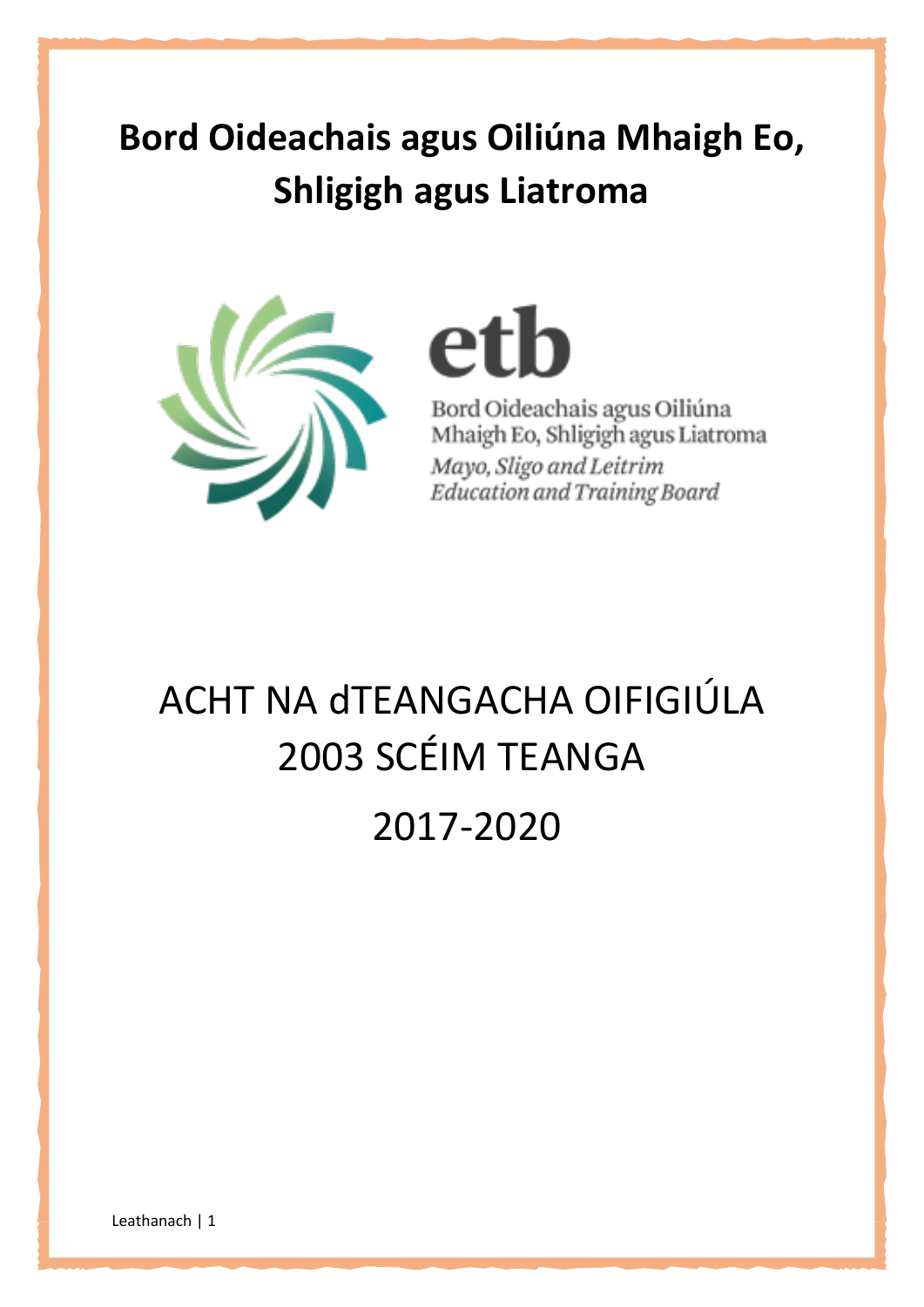## **Bord Oideachais agus Oiliúna Mhaigh Eo, Shligigh agus Liatroma**



etb

Bord Oideachais agus Oiliúna Mhaigh Eo, Shligigh agus Liatroma Mayo, Sligo and Leitrim Education and Training Board

# ACHT NA dTEANGACHA OIFIGIÚLA 2003 SCÉIM TEANGA

2017-2020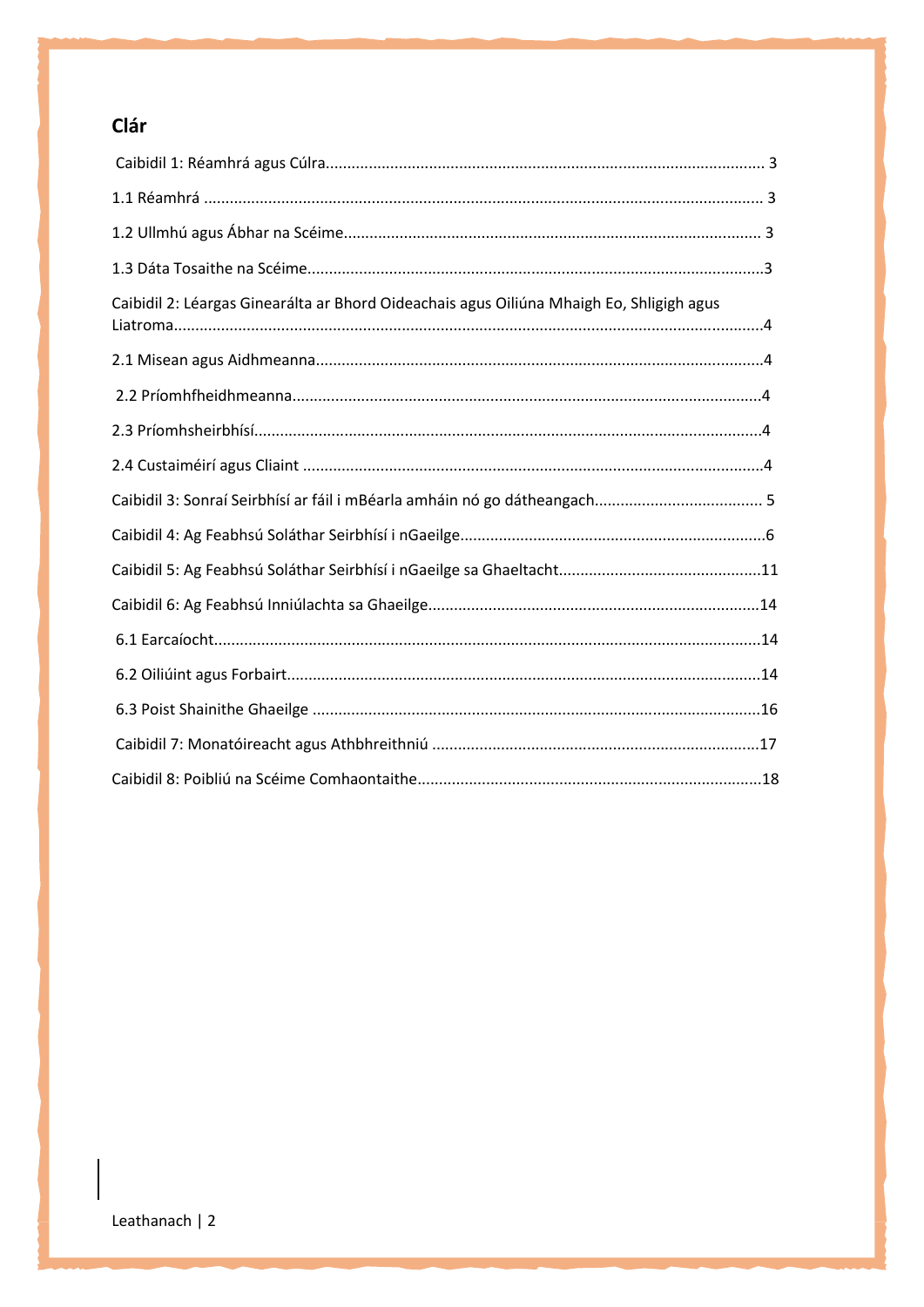## Clár

| Caibidil 2: Léargas Ginearálta ar Bhord Oideachais agus Oiliúna Mhaigh Eo, Shligigh agus |  |
|------------------------------------------------------------------------------------------|--|
|                                                                                          |  |
|                                                                                          |  |
|                                                                                          |  |
|                                                                                          |  |
|                                                                                          |  |
|                                                                                          |  |
|                                                                                          |  |
|                                                                                          |  |
|                                                                                          |  |
|                                                                                          |  |
|                                                                                          |  |
|                                                                                          |  |
|                                                                                          |  |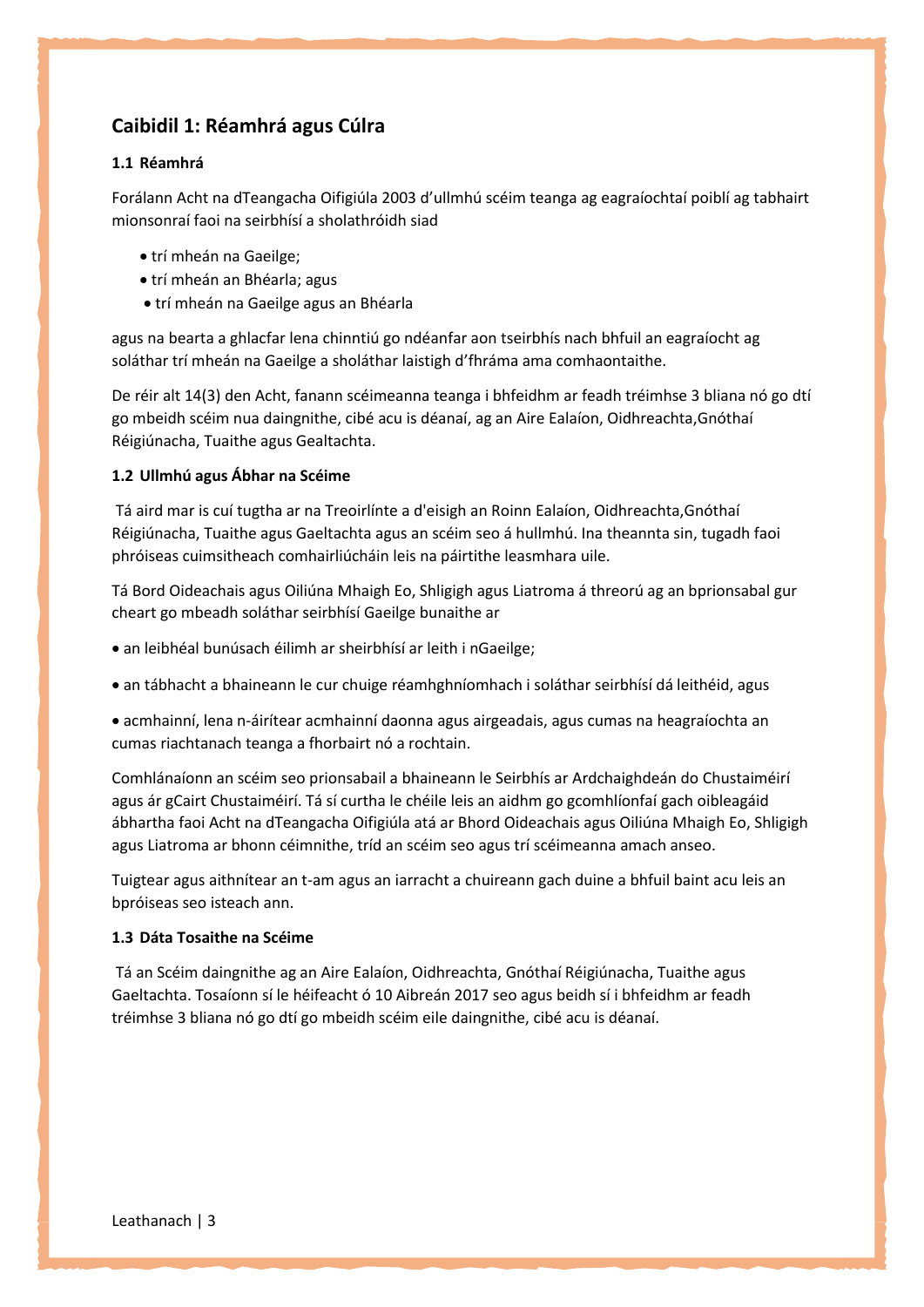## **Caibidil 1: Réamhrá agus Cúlra**

#### **1.1 Réamhrá**

Forálann Acht na dTeangacha Oifigiúla 2003 d'ullmhú scéim teanga ag eagraíochtaí poiblí ag tabhairt mionsonraí faoi na seirbhísí a sholathróidh siad

- trí mheán na Gaeilge;
- trí mheán an Bhéarla; agus
- trí mheán na Gaeilge agus an Bhéarla

agus na bearta a ghlacfar lena chinntiú go ndéanfar aon tseirbhís nach bhfuil an eagraíocht ag soláthar trí mheán na Gaeilge a sholáthar laistigh d'fhráma ama comhaontaithe.

De réir alt 14(3) den Acht, fanann scéimeanna teanga i bhfeidhm ar feadh tréimhse 3 bliana nó go dtí go mbeidh scéim nua daingnithe, cibé acu is déanaí, ag an Aire Ealaíon, Oidhreachta,Gnóthaí Réigiúnacha, Tuaithe agus Gealtachta.

#### **1.2 Ullmhú agus Ábhar na Scéime**

Tá aird mar is cuí tugtha ar na Treoirlínte a d'eisigh an Roinn Ealaíon, Oidhreachta,Gnóthaí Réigiúnacha, Tuaithe agus Gaeltachta agus an scéim seo á hullmhú. Ina theannta sin, tugadh faoi phróiseas cuimsitheach comhairliúcháin leis na páirtithe leasmhara uile.

Tá Bord Oideachais agus Oiliúna Mhaigh Eo, Shligigh agus Liatroma á threorú ag an bprionsabal gur cheart go mbeadh soláthar seirbhísí Gaeilge bunaithe ar

- an leibhéal bunúsach éilimh ar sheirbhísí ar leith i nGaeilge;
- an tábhacht a bhaineann le cur chuige réamhghníomhach i soláthar seirbhísí dá leithéid, agus

 acmhainní, lena n-áirítear acmhainní daonna agus airgeadais, agus cumas na heagraíochta an cumas riachtanach teanga a fhorbairt nó a rochtain.

Comhlánaíonn an scéim seo prionsabail a bhaineann le Seirbhís ar Ardchaighdeán do Chustaiméirí agus ár gCairt Chustaiméirí. Tá sí curtha le chéile leis an aidhm go gcomhlíonfaí gach oibleagáid ábhartha faoi Acht na dTeangacha Oifigiúla atá ar Bhord Oideachais agus Oiliúna Mhaigh Eo, Shligigh agus Liatroma ar bhonn céimnithe, tríd an scéim seo agus trí scéimeanna amach anseo.

Tuigtear agus aithnítear an t-am agus an iarracht a chuireann gach duine a bhfuil baint acu leis an bpróiseas seo isteach ann.

#### **1.3 Dáta Tosaithe na Scéime**

Tá an Scéim daingnithe ag an Aire Ealaíon, Oidhreachta, Gnóthaí Réigiúnacha, Tuaithe agus Gaeltachta. Tosaíonn sí le héifeacht ó 10 Aibreán 2017 seo agus beidh sí i bhfeidhm ar feadh tréimhse 3 bliana nó go dtí go mbeidh scéim eile daingnithe, cibé acu is déanaí.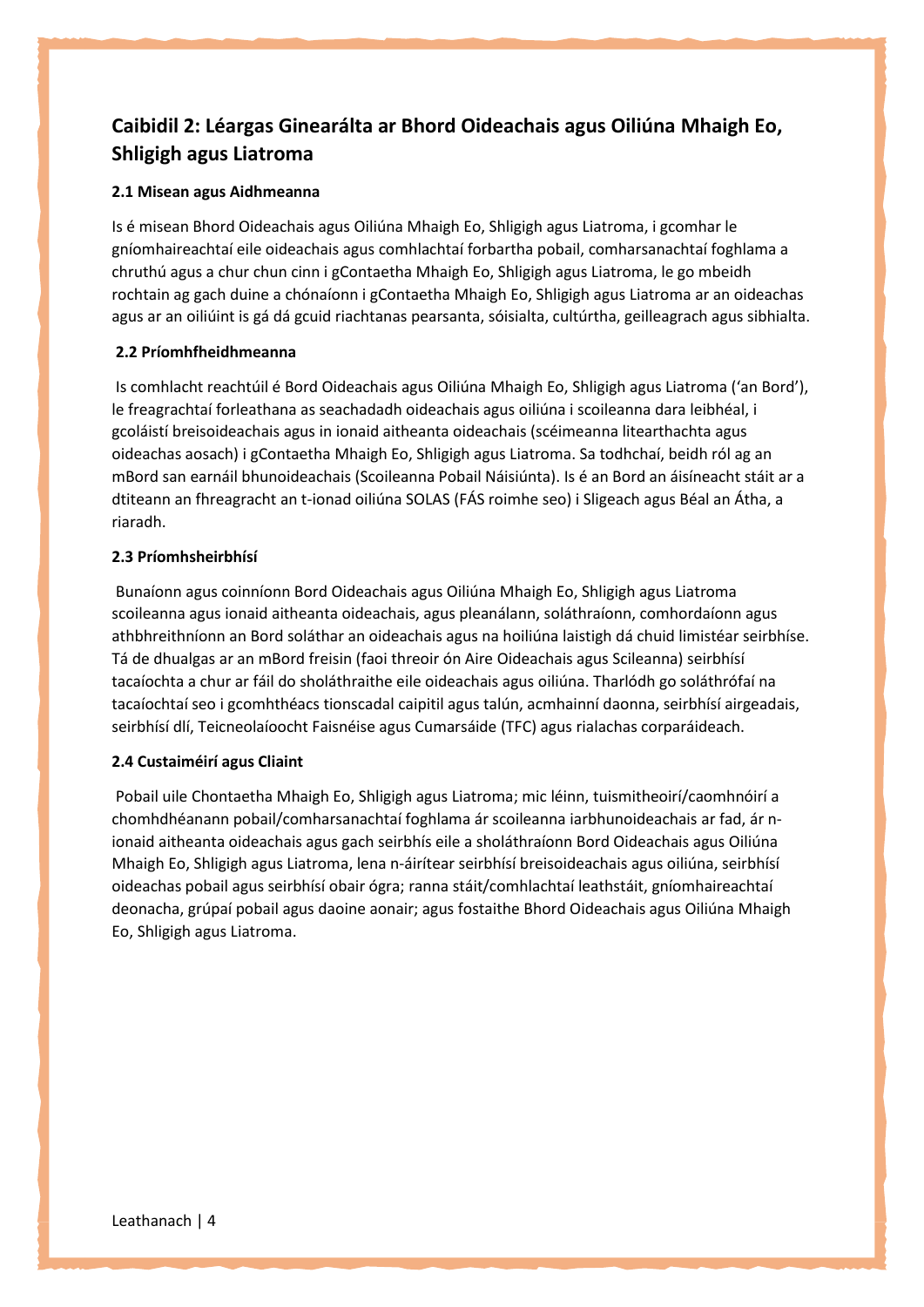## **Caibidil 2: Léargas Ginearálta ar Bhord Oideachais agus Oiliúna Mhaigh Eo, Shligigh agus Liatroma**

#### **2.1 Misean agus Aidhmeanna**

Is é misean Bhord Oideachais agus Oiliúna Mhaigh Eo, Shligigh agus Liatroma, i gcomhar le gníomhaireachtaí eile oideachais agus comhlachtaí forbartha pobail, comharsanachtaí foghlama a chruthú agus a chur chun cinn i gContaetha Mhaigh Eo, Shligigh agus Liatroma, le go mbeidh rochtain ag gach duine a chónaíonn i gContaetha Mhaigh Eo, Shligigh agus Liatroma ar an oideachas agus ar an oiliúint is gá dá gcuid riachtanas pearsanta, sóisialta, cultúrtha, geilleagrach agus sibhialta.

#### **2.2 Príomhfheidhmeanna**

Is comhlacht reachtúil é Bord Oideachais agus Oiliúna Mhaigh Eo, Shligigh agus Liatroma ('an Bord'), le freagrachtaí forleathana as seachadadh oideachais agus oiliúna i scoileanna dara leibhéal, i gcoláistí breisoideachais agus in ionaid aitheanta oideachais (scéimeanna litearthachta agus oideachas aosach) i gContaetha Mhaigh Eo, Shligigh agus Liatroma. Sa todhchaí, beidh ról ag an mBord san earnáil bhunoideachais (Scoileanna Pobail Náisiúnta). Is é an Bord an áisíneacht stáit ar a dtiteann an fhreagracht an t-ionad oiliúna SOLAS (FÁS roimhe seo) i Sligeach agus Béal an Átha, a riaradh.

#### **2.3 Príomhsheirbhísí**

Bunaíonn agus coinníonn Bord Oideachais agus Oiliúna Mhaigh Eo, Shligigh agus Liatroma scoileanna agus ionaid aitheanta oideachais, agus pleanálann, soláthraíonn, comhordaíonn agus athbhreithníonn an Bord soláthar an oideachais agus na hoiliúna laistigh dá chuid limistéar seirbhíse. Tá de dhualgas ar an mBord freisin (faoi threoir ón Aire Oideachais agus Scileanna) seirbhísí tacaíochta a chur ar fáil do sholáthraithe eile oideachais agus oiliúna. Tharlódh go soláthrófaí na tacaíochtaí seo i gcomhthéacs tionscadal caipitil agus talún, acmhainní daonna, seirbhísí airgeadais, seirbhísí dlí, Teicneolaíoocht Faisnéise agus Cumarsáide (TFC) agus rialachas corparáideach.

## **2.4 Custaiméirí agus Cliaint**

Pobail uile Chontaetha Mhaigh Eo, Shligigh agus Liatroma; mic léinn, tuismitheoirí/caomhnóirí a chomhdhéanann pobail/comharsanachtaí foghlama ár scoileanna iarbhunoideachais ar fad, ár nionaid aitheanta oideachais agus gach seirbhís eile a sholáthraíonn Bord Oideachais agus Oiliúna Mhaigh Eo, Shligigh agus Liatroma, lena n-áirítear seirbhísí breisoideachais agus oiliúna, seirbhísí oideachas pobail agus seirbhísí obair ógra; ranna stáit/comhlachtaí leathstáit, gníomhaireachtaí deonacha, grúpaí pobail agus daoine aonair; agus fostaithe Bhord Oideachais agus Oiliúna Mhaigh Eo, Shligigh agus Liatroma.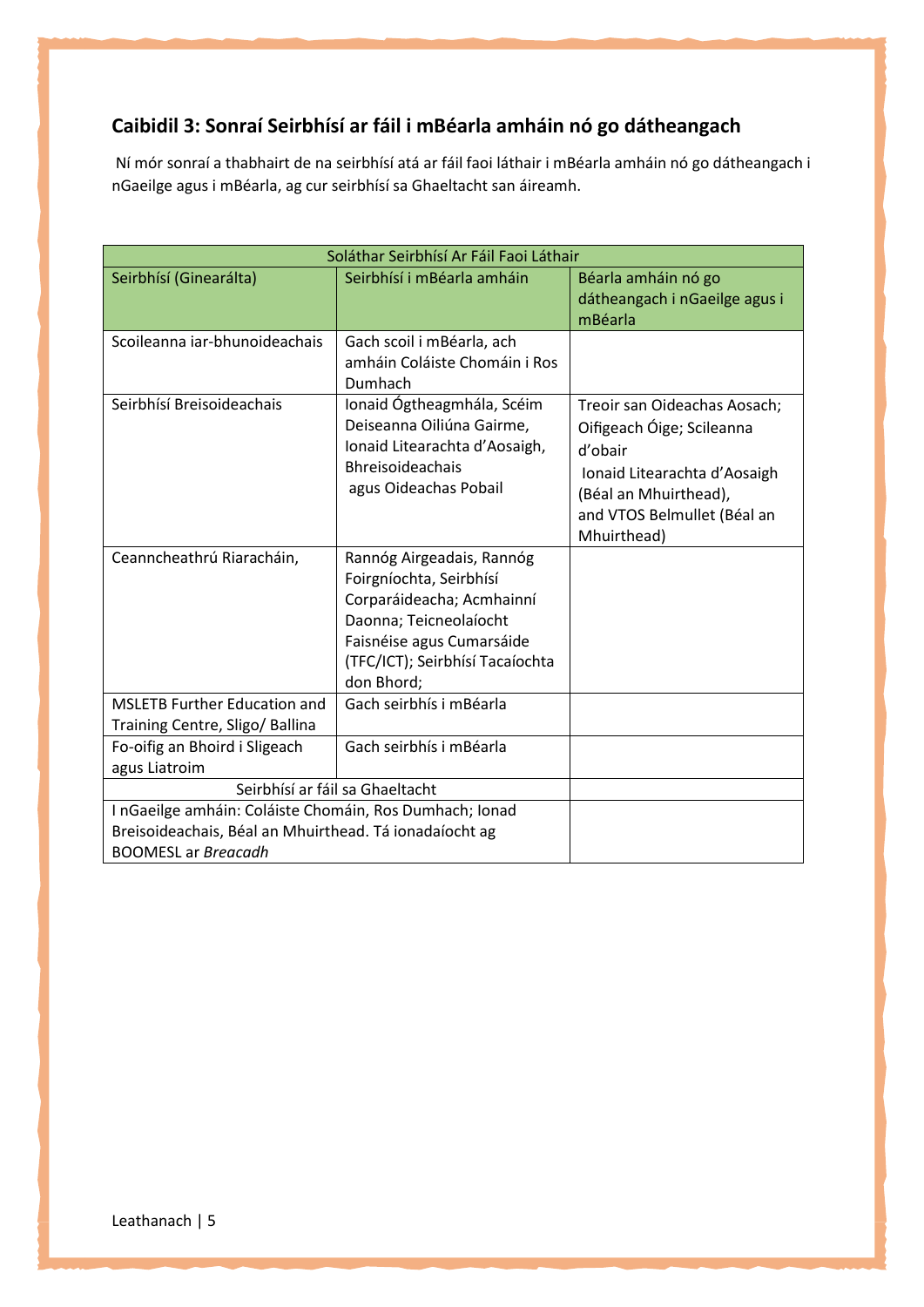## **Caibidil 3: Sonraí Seirbhísí ar fáil i mBéarla amháin nó go dátheangach**

Ní mór sonraí a thabhairt de na seirbhísí atá ar fáil faoi láthair i mBéarla amháin nó go dátheangach i nGaeilge agus i mBéarla, ag cur seirbhísí sa Ghaeltacht san áireamh.

| Soláthar Seirbhísí Ar Fáil Faoi Láthair                                                                                                                |                                                                                                                                                                                           |                                                                                                                                                                             |  |
|--------------------------------------------------------------------------------------------------------------------------------------------------------|-------------------------------------------------------------------------------------------------------------------------------------------------------------------------------------------|-----------------------------------------------------------------------------------------------------------------------------------------------------------------------------|--|
| Seirbhísí (Ginearálta)                                                                                                                                 | Seirbhísí i mBéarla amháin                                                                                                                                                                | Béarla amháin nó go<br>dátheangach i nGaeilge agus i<br>mBéarla                                                                                                             |  |
| Scoileanna iar-bhunoideachais                                                                                                                          | Gach scoil i mBéarla, ach<br>amháin Coláiste Chomáin i Ros<br>Dumhach                                                                                                                     |                                                                                                                                                                             |  |
| Seirbhísí Breisoideachais                                                                                                                              | Ionaid Ógtheagmhála, Scéim<br>Deiseanna Oiliúna Gairme,<br>Ionaid Litearachta d'Aosaigh,<br>Bhreisoideachais<br>agus Oideachas Pobail                                                     | Treoir san Oideachas Aosach;<br>Oifigeach Óige; Scileanna<br>d'obair<br>Ionaid Litearachta d'Aosaigh<br>(Béal an Mhuirthead),<br>and VTOS Belmullet (Béal an<br>Mhuirthead) |  |
| Ceanncheathrú Riaracháin,                                                                                                                              | Rannóg Airgeadais, Rannóg<br>Foirgníochta, Seirbhísí<br>Corparáideacha; Acmhainní<br>Daonna; Teicneolaíocht<br>Faisnéise agus Cumarsáide<br>(TFC/ICT); Seirbhísí Tacaíochta<br>don Bhord; |                                                                                                                                                                             |  |
| <b>MSLETB Further Education and</b><br>Training Centre, Sligo/ Ballina                                                                                 | Gach seirbhís i mBéarla                                                                                                                                                                   |                                                                                                                                                                             |  |
| Fo-oifig an Bhoird i Sligeach<br>agus Liatroim                                                                                                         | Gach seirbhís i mBéarla                                                                                                                                                                   |                                                                                                                                                                             |  |
|                                                                                                                                                        | Seirbhísí ar fáil sa Ghaeltacht                                                                                                                                                           |                                                                                                                                                                             |  |
| I nGaeilge amháin: Coláiste Chomáin, Ros Dumhach; Ionad<br>Breisoideachais, Béal an Mhuirthead. Tá ionadaíocht ag<br><b>BOOMESL</b> ar <i>Breacadh</i> |                                                                                                                                                                                           |                                                                                                                                                                             |  |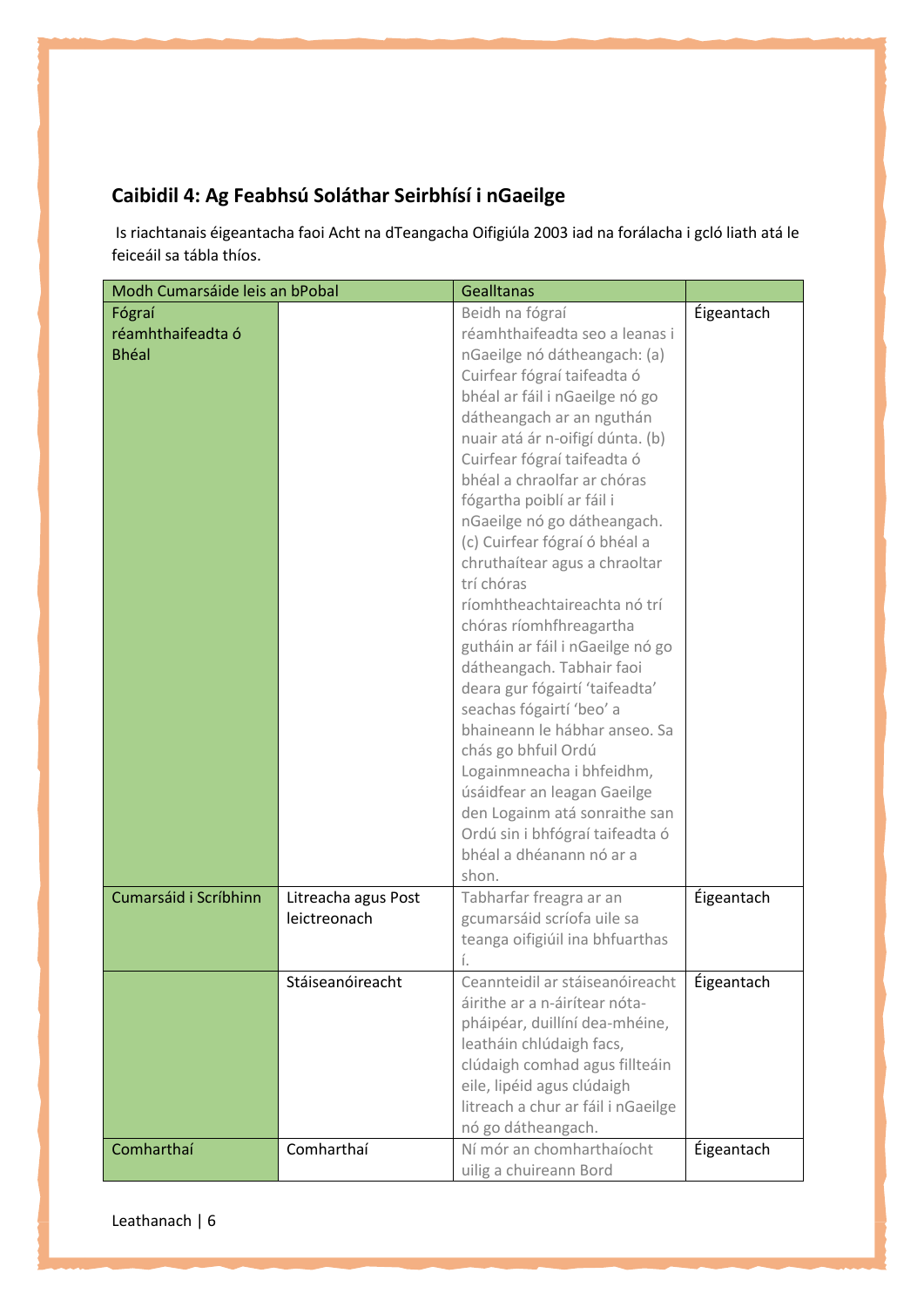## **Caibidil 4: Ag Feabhsú Soláthar Seirbhísí i nGaeilge**

Is riachtanais éigeantacha faoi Acht na dTeangacha Oifigiúla 2003 iad na forálacha i gcló liath atá le feiceáil sa tábla thíos.

| Modh Cumarsáide leis an bPobal |                     | <b>Gealltanas</b>                  |            |
|--------------------------------|---------------------|------------------------------------|------------|
| Fógraí                         |                     | Beidh na fógraí                    | Éigeantach |
| réamhthaifeadta ó              |                     | réamhthaifeadta seo a leanas i     |            |
| <b>Bhéal</b>                   |                     | nGaeilge nó dátheangach: (a)       |            |
|                                |                     | Cuirfear fógraí taifeadta ó        |            |
|                                |                     | bhéal ar fáil i nGaeilge nó go     |            |
|                                |                     | dátheangach ar an nguthán          |            |
|                                |                     | nuair atá ár n-oifigí dúnta. (b)   |            |
|                                |                     | Cuirfear fógraí taifeadta ó        |            |
|                                |                     | bhéal a chraolfar ar chóras        |            |
|                                |                     | fógartha poiblí ar fáil i          |            |
|                                |                     |                                    |            |
|                                |                     | nGaeilge nó go dátheangach.        |            |
|                                |                     | (c) Cuirfear fógraí ó bhéal a      |            |
|                                |                     | chruthaítear agus a chraoltar      |            |
|                                |                     | trí chóras                         |            |
|                                |                     | ríomhtheachtaireachta nó trí       |            |
|                                |                     | chóras ríomhfhreagartha            |            |
|                                |                     | gutháin ar fáil i nGaeilge nó go   |            |
|                                |                     | dátheangach. Tabhair faoi          |            |
|                                |                     | deara gur fógairtí 'taifeadta'     |            |
|                                |                     | seachas fógairtí 'beo' a           |            |
|                                |                     | bhaineann le hábhar anseo. Sa      |            |
|                                |                     | chás go bhfuil Ordú                |            |
|                                |                     | Logainmneacha i bhfeidhm,          |            |
|                                |                     | úsáidfear an leagan Gaeilge        |            |
|                                |                     | den Logainm atá sonraithe san      |            |
|                                |                     | Ordú sin i bhfógraí taifeadta ó    |            |
|                                |                     | bhéal a dhéanann nó ar a           |            |
|                                |                     | shon.                              |            |
| Cumarsáid i Scríbhinn          | Litreacha agus Post | Tabharfar freagra ar an            | Éigeantach |
|                                | leictreonach        | gcumarsáid scríofa uile sa         |            |
|                                |                     | teanga oifigiúil ina bhfuarthas    |            |
|                                |                     | İ.                                 |            |
|                                | Stáiseanóireacht    | Ceannteidil ar stáiseanóireacht    | Éigeantach |
|                                |                     | áirithe ar a n-áirítear nóta-      |            |
|                                |                     | pháipéar, duillíní dea-mhéine,     |            |
|                                |                     | leatháin chlúdaigh facs,           |            |
|                                |                     | clúdaigh comhad agus fillteáin     |            |
|                                |                     | eile, lipéid agus clúdaigh         |            |
|                                |                     | litreach a chur ar fáil i nGaeilge |            |
|                                |                     | nó go dátheangach.                 |            |
| Comharthaí                     | Comharthaí          | Ní mór an chomharthaíocht          | Éigeantach |
|                                |                     | uilig a chuireann Bord             |            |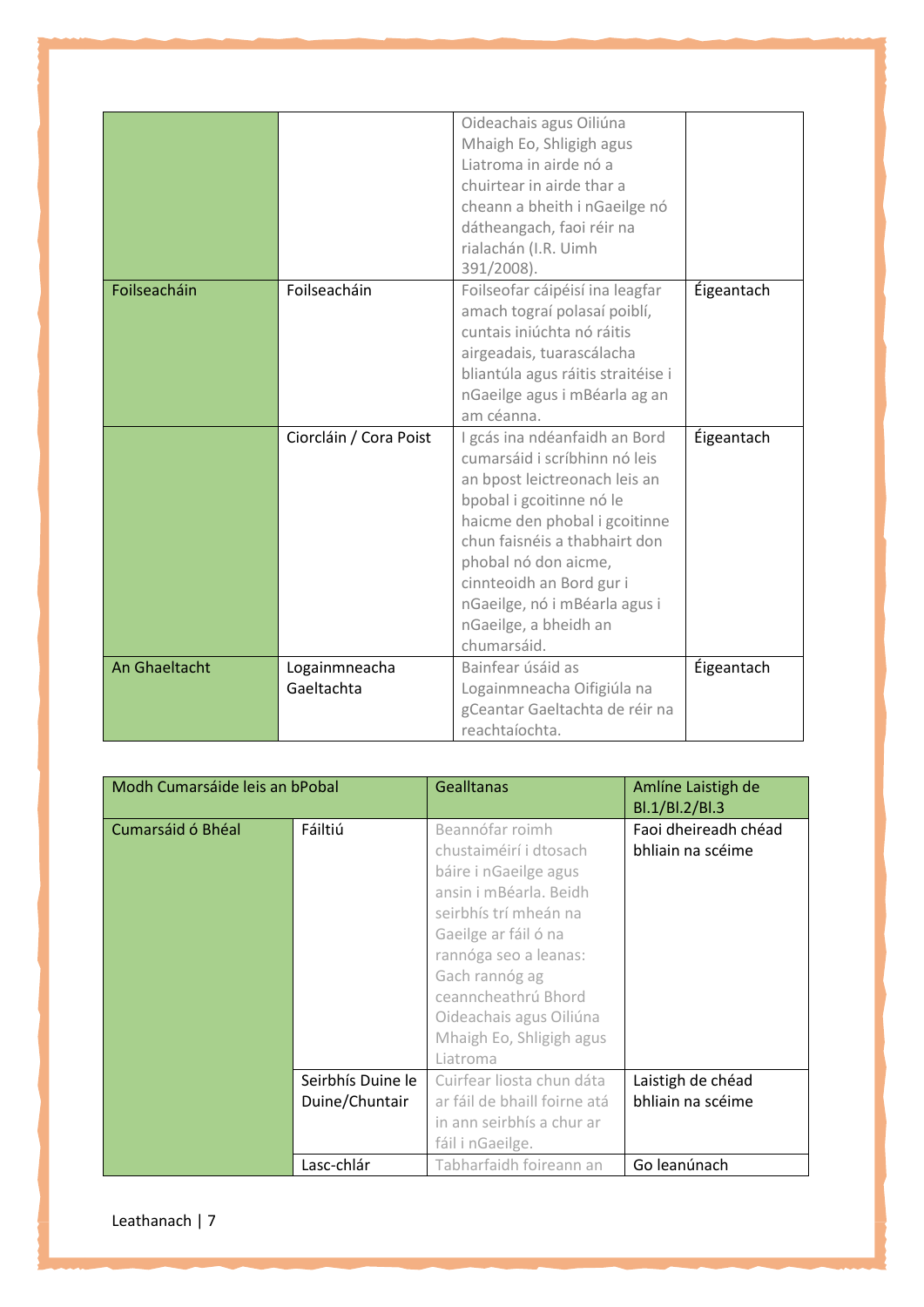|               |                        | Oideachais agus Oiliúna            |            |
|---------------|------------------------|------------------------------------|------------|
|               |                        | Mhaigh Eo, Shligigh agus           |            |
|               |                        | Liatroma in airde nó a             |            |
|               |                        | chuirtear in airde thar a          |            |
|               |                        | cheann a bheith i nGaeilge nó      |            |
|               |                        | dátheangach, faoi réir na          |            |
|               |                        | rialachán (I.R. Uimh               |            |
|               |                        | 391/2008).                         |            |
| Foilseacháin  | Foilseacháin           | Foilseofar cáipéisí ina leagfar    | Éigeantach |
|               |                        | amach tograí polasaí poiblí,       |            |
|               |                        | cuntais iniúchta nó ráitis         |            |
|               |                        | airgeadais, tuarascálacha          |            |
|               |                        | bliantúla agus ráitis straitéise i |            |
|               |                        | nGaeilge agus i mBéarla ag an      |            |
|               |                        | am céanna.                         |            |
|               |                        |                                    |            |
|               | Ciorcláin / Cora Poist | I gcás ina ndéanfaidh an Bord      | Éigeantach |
|               |                        | cumarsáid i scríbhinn nó leis      |            |
|               |                        | an bpost leictreonach leis an      |            |
|               |                        | bpobal i gcoitinne nó le           |            |
|               |                        | haicme den phobal i gcoitinne      |            |
|               |                        | chun faisnéis a thabhairt don      |            |
|               |                        | phobal nó don aicme,               |            |
|               |                        | cinnteoidh an Bord gur i           |            |
|               |                        | nGaeilge, nó i mBéarla agus i      |            |
|               |                        | nGaeilge, a bheidh an              |            |
|               |                        | chumarsáid.                        |            |
| An Ghaeltacht | Logainmneacha          | Bainfear úsáid as                  | Éigeantach |
|               | Gaeltachta             | Logainmneacha Oifigiúla na         |            |
|               |                        | gCeantar Gaeltachta de réir na     |            |

| Modh Cumarsáide leis an bPobal |                   | <b>Gealltanas</b>            | Amlíne Laistigh de<br>Bl.1/Bl.2/Bl.3 |
|--------------------------------|-------------------|------------------------------|--------------------------------------|
| Cumarsáid ó Bhéal              | Fáiltiú           | Beannófar roimh              | Faoi dheireadh chéad                 |
|                                |                   | chustaiméirí i dtosach       | bhliain na scéime                    |
|                                |                   | báire i nGaeilge agus        |                                      |
|                                |                   | ansin i mBéarla. Beidh       |                                      |
|                                |                   | seirbhís trí mheán na        |                                      |
|                                |                   | Gaeilge ar fáil ó na         |                                      |
|                                |                   | rannóga seo a leanas:        |                                      |
|                                |                   | Gach rannóg ag               |                                      |
|                                |                   | ceanncheathrú Bhord          |                                      |
|                                |                   | Oideachais agus Oiliúna      |                                      |
|                                |                   | Mhaigh Eo, Shligigh agus     |                                      |
|                                |                   | Liatroma                     |                                      |
|                                | Seirbhís Duine le | Cuirfear liosta chun dáta    | Laistigh de chéad                    |
|                                | Duine/Chuntair    | ar fáil de bhaill foirne atá | bhliain na scéime                    |
|                                |                   | in ann seirbhís a chur ar    |                                      |
|                                |                   | fáil i nGaeilge.             |                                      |
|                                | Lasc-chlár        | Tabharfaidh foireann an      | Go leanúnach                         |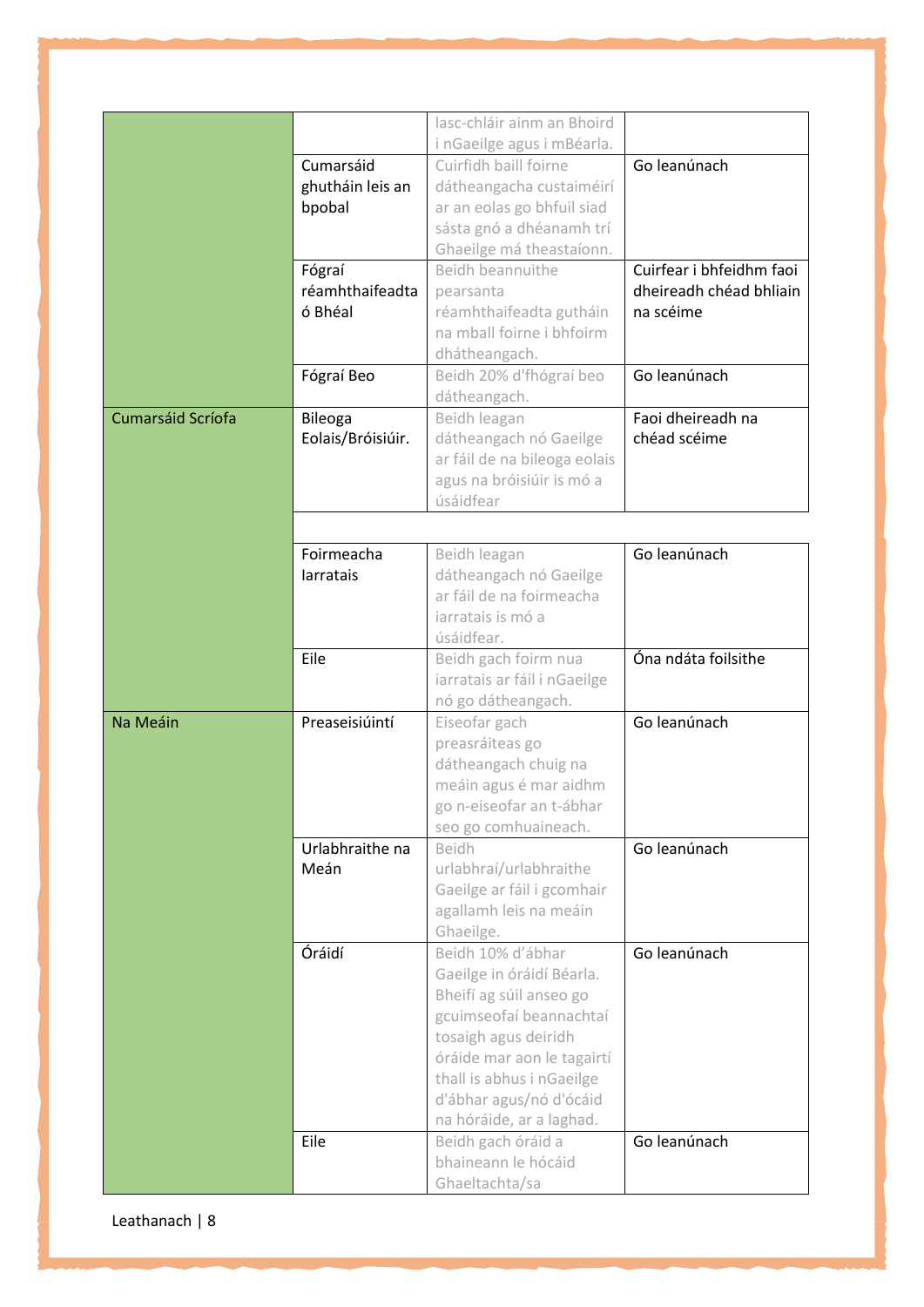|                   |                   | lasc-chláir ainm an Bhoird   |                          |
|-------------------|-------------------|------------------------------|--------------------------|
|                   |                   | i nGaeilge agus i mBéarla.   |                          |
|                   | Cumarsáid         |                              | Go leanúnach             |
|                   |                   | Cuirfidh baill foirne        |                          |
|                   | ghutháin leis an  | dátheangacha custaiméirí     |                          |
|                   | bpobal            | ar an eolas go bhfuil siad   |                          |
|                   |                   | sásta gnó a dhéanamh trí     |                          |
|                   |                   | Ghaeilge má theastaíonn.     |                          |
|                   | Fógraí            | Beidh beannuithe             | Cuirfear i bhfeidhm faoi |
|                   | réamhthaifeadta   | pearsanta                    | dheireadh chéad bhliain  |
|                   | ó Bhéal           | réamhthaifeadta gutháin      | na scéime                |
|                   |                   | na mball foirne i bhfoirm    |                          |
|                   |                   | dhátheangach.                |                          |
|                   | Fógraí Beo        | Beidh 20% d'fhógraí beo      | Go leanúnach             |
|                   |                   | dátheangach.                 |                          |
| Cumarsáid Scríofa | <b>Bileoga</b>    | Beidh leagan                 | Faoi dheireadh na        |
|                   | Eolais/Bróisiúir. | dátheangach nó Gaeilge       | chéad scéime             |
|                   |                   | ar fáil de na bileoga eolais |                          |
|                   |                   | agus na bróisiúir is mó a    |                          |
|                   |                   | úsáidfear                    |                          |
|                   |                   |                              |                          |
|                   |                   |                              |                          |
|                   | Foirmeacha        | Beidh leagan                 | Go leanúnach             |
|                   | larratais         | dátheangach nó Gaeilge       |                          |
|                   |                   | ar fáil de na foirmeacha     |                          |
|                   |                   | iarratais is mó a            |                          |
|                   |                   | úsáidfear.                   |                          |
|                   | Eile              | Beidh gach foirm nua         | Óna ndáta foilsithe      |
|                   |                   | iarratais ar fáil i nGaeilge |                          |
|                   |                   | nó go dátheangach.           |                          |
| Na Meáin          | Preaseisiúintí    | Eiseofar gach                | Go leanúnach             |
|                   |                   | preasráiteas go              |                          |
|                   |                   | dátheangach chuig na         |                          |
|                   |                   | meáin agus é mar aidhm       |                          |
|                   |                   | go n-eiseofar an t-ábhar     |                          |
|                   |                   | seo go comhuaineach.         |                          |
|                   | Urlabhraithe na   | Beidh                        | Go leanúnach             |
|                   | Meán              | urlabhraí/urlabhraithe       |                          |
|                   |                   | Gaeilge ar fáil i gcomhair   |                          |
|                   |                   | agallamh leis na meáin       |                          |
|                   |                   | Ghaeilge.                    |                          |
|                   | Óráidí            | Beidh 10% d'ábhar            | Go leanúnach             |
|                   |                   |                              |                          |
|                   |                   | Gaeilge in óráidí Béarla.    |                          |
|                   |                   | Bheifí ag súil anseo go      |                          |
|                   |                   | gcuimseofaí beannachtaí      |                          |
|                   |                   | tosaigh agus deiridh         |                          |
|                   |                   | óráide mar aon le tagairtí   |                          |
|                   |                   | thall is abhus i nGaeilge    |                          |
|                   |                   | d'ábhar agus/nó d'ócáid      |                          |
|                   |                   | na hóráide, ar a laghad.     |                          |
|                   | Eile              | Beidh gach óráid a           | Go leanúnach             |
|                   |                   | bhaineann le hócáid          |                          |
|                   |                   | Ghaeltachta/sa               |                          |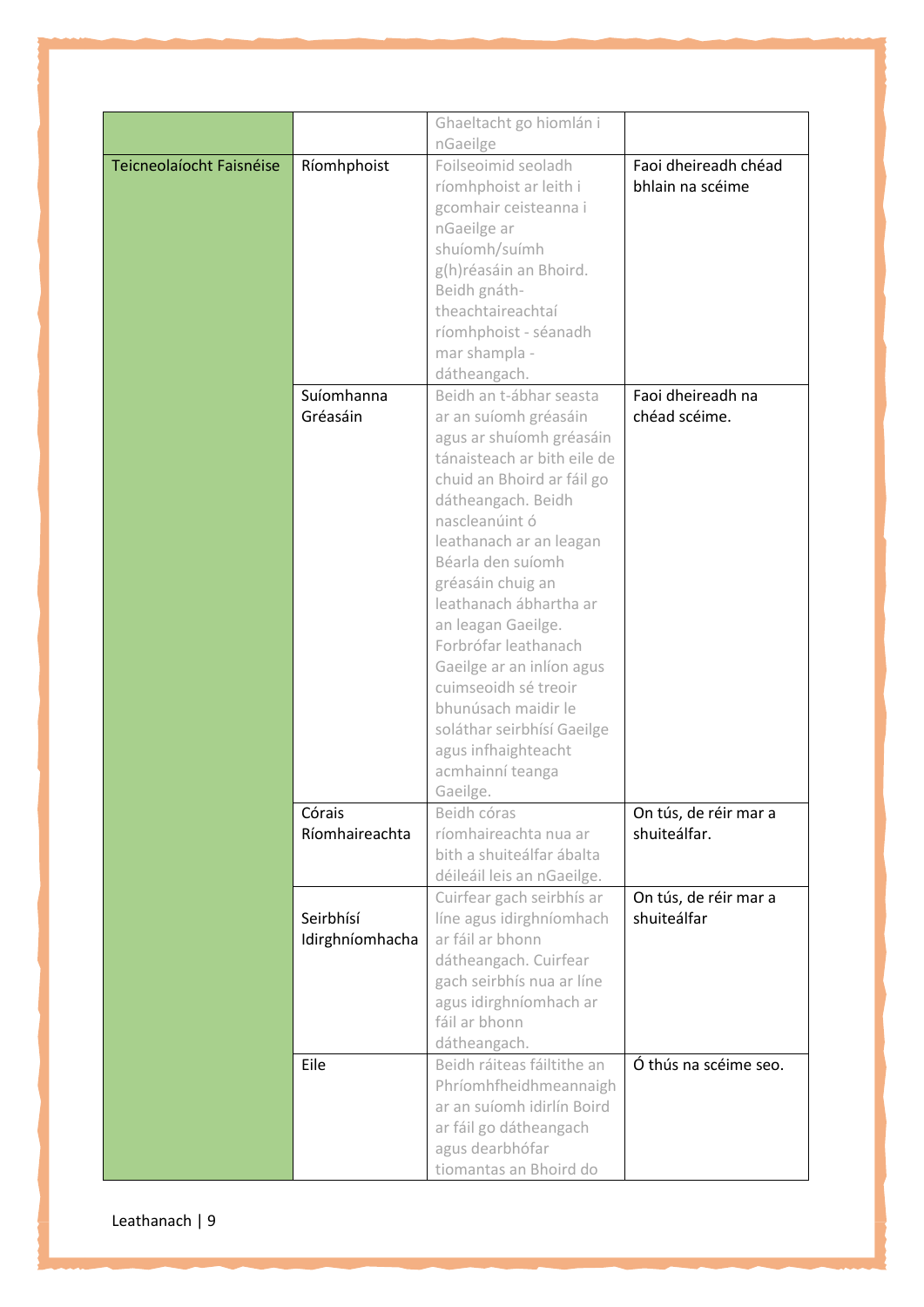|                          |                 | Ghaeltacht go hiomlán i     |                       |
|--------------------------|-----------------|-----------------------------|-----------------------|
|                          |                 | nGaeilge                    |                       |
| Teicneolaíocht Faisnéise | Ríomhphoist     | Foilseoimid seoladh         | Faoi dheireadh chéad  |
|                          |                 | ríomhphoist ar leith i      | bhlain na scéime      |
|                          |                 | gcomhair ceisteanna i       |                       |
|                          |                 | nGaeilge ar                 |                       |
|                          |                 | shuíomh/suímh               |                       |
|                          |                 | g(h)réasáin an Bhoird.      |                       |
|                          |                 | Beidh gnáth-                |                       |
|                          |                 | theachtaireachtaí           |                       |
|                          |                 | ríomhphoist - séanadh       |                       |
|                          |                 | mar shampla -               |                       |
|                          |                 | dátheangach.                |                       |
|                          | Suíomhanna      | Beidh an t-ábhar seasta     | Faoi dheireadh na     |
|                          | Gréasáin        | ar an suíomh gréasáin       | chéad scéime.         |
|                          |                 | agus ar shuíomh gréasáin    |                       |
|                          |                 | tánaisteach ar bith eile de |                       |
|                          |                 | chuid an Bhoird ar fáil go  |                       |
|                          |                 | dátheangach. Beidh          |                       |
|                          |                 | nascleanúint ó              |                       |
|                          |                 | leathanach ar an leagan     |                       |
|                          |                 | Béarla den suíomh           |                       |
|                          |                 | gréasáin chuig an           |                       |
|                          |                 | leathanach ábhartha ar      |                       |
|                          |                 | an leagan Gaeilge.          |                       |
|                          |                 | Forbrófar leathanach        |                       |
|                          |                 | Gaeilge ar an inlíon agus   |                       |
|                          |                 | cuimseoidh sé treoir        |                       |
|                          |                 | bhunúsach maidir le         |                       |
|                          |                 | soláthar seirbhísí Gaeilge  |                       |
|                          |                 | agus infhaighteacht         |                       |
|                          |                 | acmhainní teanga            |                       |
|                          |                 | Gaeilge.                    |                       |
|                          | Córais          | Beidh córas                 | On tús, de réir mar a |
|                          | Ríomhaireachta  | ríomhaireachta nua ar       | shuiteálfar.          |
|                          |                 | bith a shuiteálfar ábalta   |                       |
|                          |                 | déileáil leis an nGaeilge.  |                       |
|                          |                 | Cuirfear gach seirbhís ar   | On tús, de réir mar a |
|                          | Seirbhísí       | líne agus idirghníomhach    | shuiteálfar           |
|                          | Idirghníomhacha | ar fáil ar bhonn            |                       |
|                          |                 | dátheangach. Cuirfear       |                       |
|                          |                 | gach seirbhís nua ar líne   |                       |
|                          |                 | agus idirghníomhach ar      |                       |
|                          |                 | fáil ar bhonn               |                       |
|                          |                 | dátheangach.                |                       |
|                          | Eile            | Beidh ráiteas fáiltithe an  | Ó thús na scéime seo. |
|                          |                 | Phríomhfheidhmeannaigh      |                       |
|                          |                 | ar an suíomh idirlín Boird  |                       |
|                          |                 | ar fáil go dátheangach      |                       |
|                          |                 | agus dearbhófar             |                       |
|                          |                 | tiomantas an Bhoird do      |                       |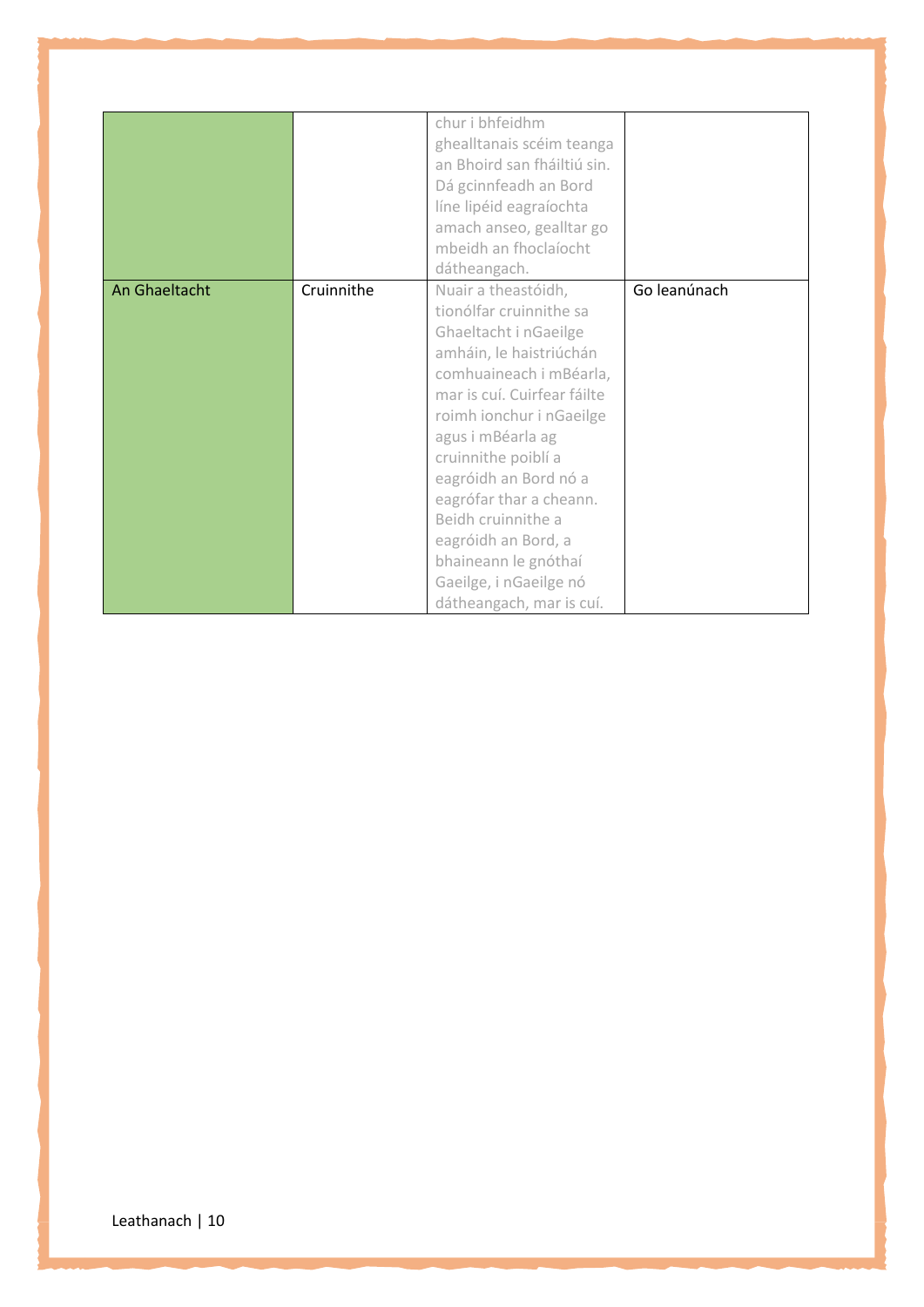|            | chur i bhfeidhm             |                                                                                                |
|------------|-----------------------------|------------------------------------------------------------------------------------------------|
|            | ghealltanais scéim teanga   |                                                                                                |
|            | an Bhoird san fháiltiú sin. |                                                                                                |
|            | Dá gcinnfeadh an Bord       |                                                                                                |
|            | líne lipéid eagraíochta     |                                                                                                |
|            | amach anseo, gealltar go    |                                                                                                |
|            | mbeidh an fhoclaíocht       |                                                                                                |
|            | dátheangach.                |                                                                                                |
| Cruinnithe | Nuair a theastóidh,         | Go leanúnach                                                                                   |
|            | tionólfar cruinnithe sa     |                                                                                                |
|            | Ghaeltacht i nGaeilge       |                                                                                                |
|            | amháin, le haistriúchán     |                                                                                                |
|            | comhuaineach i mBéarla,     |                                                                                                |
|            | mar is cuí. Cuirfear fáilte |                                                                                                |
|            | roimh ionchur i nGaeilge    |                                                                                                |
|            | agus i mBéarla ag           |                                                                                                |
|            | cruinnithe poiblí a         |                                                                                                |
|            |                             |                                                                                                |
|            | eagrófar thar a cheann.     |                                                                                                |
|            | Beidh cruinnithe a          |                                                                                                |
|            |                             |                                                                                                |
|            |                             |                                                                                                |
|            |                             |                                                                                                |
|            | dátheangach, mar is cuí.    |                                                                                                |
|            |                             | eagróidh an Bord nó a<br>eagróidh an Bord, a<br>bhaineann le gnóthaí<br>Gaeilge, i nGaeilge nó |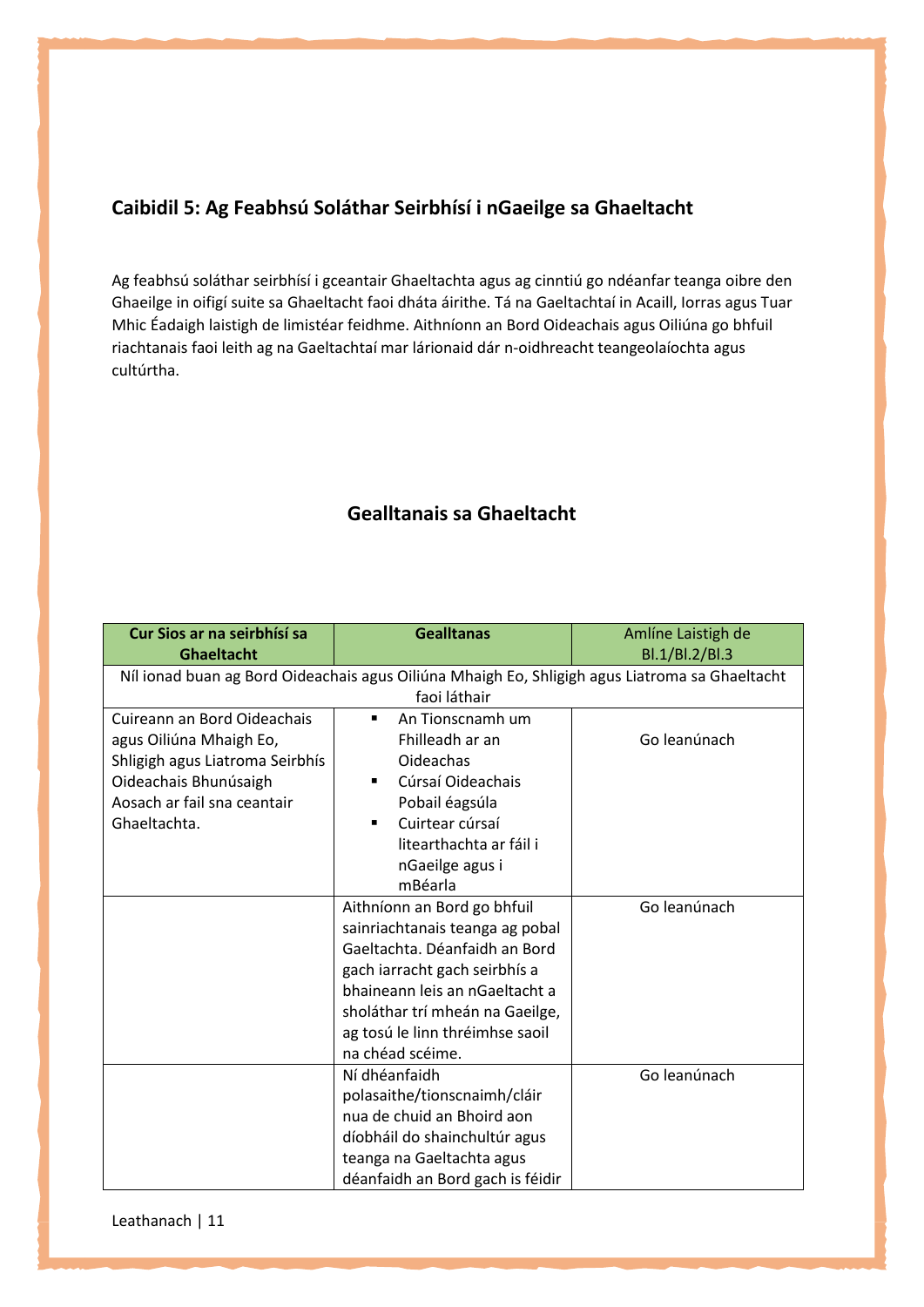## **Caibidil 5: Ag Feabhsú Soláthar Seirbhísí i nGaeilge sa Ghaeltacht**

Ag feabhsú soláthar seirbhísí i gceantair Ghaeltachta agus ag cinntiú go ndéanfar teanga oibre den Ghaeilge in oifigí suite sa Ghaeltacht faoi dháta áirithe. Tá na Gaeltachtaí in Acaill, Iorras agus Tuar Mhic Éadaigh laistigh de limistéar feidhme. Aithníonn an Bord Oideachais agus Oiliúna go bhfuil riachtanais faoi leith ag na Gaeltachtaí mar lárionaid dár n-oidhreacht teangeolaíochta agus cultúrtha.

## **Gealltanais sa Ghaeltacht**

| Cur Sios ar na seirbhísí sa<br><b>Ghaeltacht</b> | <b>Gealltanas</b>                                                                                              | Amlíne Laistigh de<br>Bl.1/Bl.2/Bl.3 |
|--------------------------------------------------|----------------------------------------------------------------------------------------------------------------|--------------------------------------|
|                                                  | Níl ionad buan ag Bord Oideachais agus Oiliúna Mhaigh Eo, Shligigh agus Liatroma sa Ghaeltacht<br>faoi láthair |                                      |
|                                                  |                                                                                                                |                                      |
| Cuireann an Bord Oideachais                      | An Tionscnamh um                                                                                               |                                      |
| agus Oiliúna Mhaigh Eo,                          | Fhilleadh ar an                                                                                                | Go leanúnach                         |
| Shligigh agus Liatroma Seirbhís                  | Oideachas                                                                                                      |                                      |
| Oideachais Bhunúsaigh                            | Cúrsaí Oideachais                                                                                              |                                      |
| Aosach ar fail sna ceantair                      | Pobail éagsúla                                                                                                 |                                      |
| Ghaeltachta.                                     | Cuirtear cúrsaí<br>$\blacksquare$                                                                              |                                      |
|                                                  | litearthachta ar fáil i                                                                                        |                                      |
|                                                  | nGaeilge agus i                                                                                                |                                      |
|                                                  | mBéarla                                                                                                        |                                      |
|                                                  | Aithníonn an Bord go bhfuil                                                                                    | Go leanúnach                         |
|                                                  | sainriachtanais teanga ag pobal                                                                                |                                      |
|                                                  | Gaeltachta. Déanfaidh an Bord                                                                                  |                                      |
|                                                  | gach iarracht gach seirbhís a                                                                                  |                                      |
|                                                  | bhaineann leis an nGaeltacht a                                                                                 |                                      |
|                                                  | sholáthar trí mheán na Gaeilge,                                                                                |                                      |
|                                                  | ag tosú le linn thréimhse saoil                                                                                |                                      |
|                                                  | na chéad scéime.                                                                                               |                                      |
|                                                  | Ní dhéanfaidh                                                                                                  | Go leanúnach                         |
|                                                  | polasaithe/tionscnaimh/cláir                                                                                   |                                      |
|                                                  | nua de chuid an Bhoird aon                                                                                     |                                      |
|                                                  | díobháil do shainchultúr agus                                                                                  |                                      |
|                                                  | teanga na Gaeltachta agus                                                                                      |                                      |
|                                                  | déanfaidh an Bord gach is féidir                                                                               |                                      |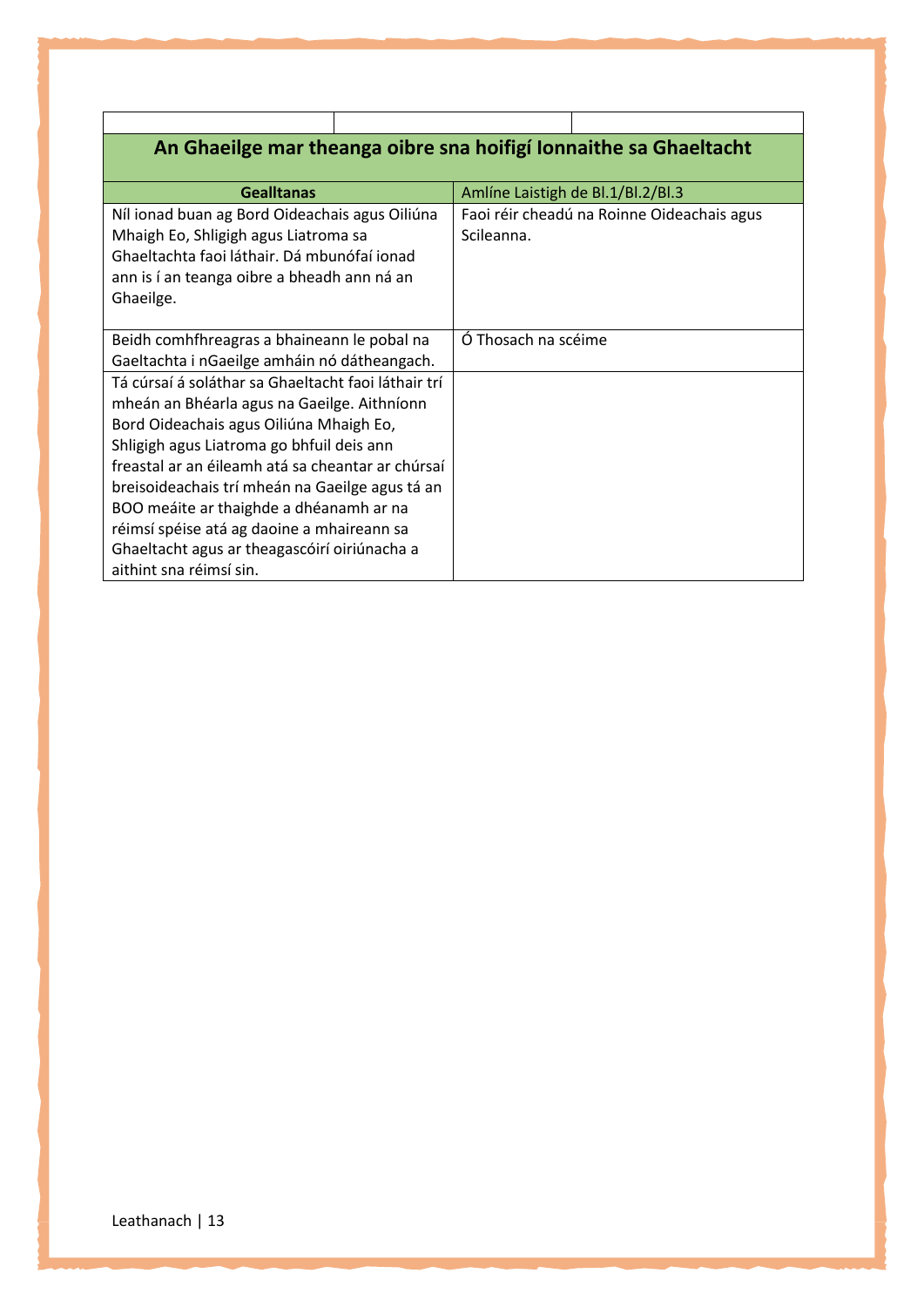| An Ghaeilge mar theanga oibre sna hoifigí Ionnaithe sa Ghaeltacht |  |  |  |
|-------------------------------------------------------------------|--|--|--|
|-------------------------------------------------------------------|--|--|--|

| <b>Gealltanas</b>                                   | Amlíne Laistigh de Bl.1/Bl.2/Bl.3          |
|-----------------------------------------------------|--------------------------------------------|
| Níl ionad buan ag Bord Oideachais agus Oiliúna      | Faoi réir cheadú na Roinne Oideachais agus |
| Mhaigh Eo, Shligigh agus Liatroma sa                | Scileanna.                                 |
| Ghaeltachta faoi láthair. Dá mbunófaí ionad         |                                            |
| ann is í an teanga oibre a bheadh ann ná an         |                                            |
| Ghaeilge.                                           |                                            |
|                                                     |                                            |
| Beidh comhfhreagras a bhaineann le pobal na         | Ó Thosach na scéime                        |
| Gaeltachta i nGaeilge amháin nó dátheangach.        |                                            |
| Tá cúrsaí á soláthar sa Ghaeltacht faoi láthair trí |                                            |
| mheán an Bhéarla agus na Gaeilge. Aithníonn         |                                            |
| Bord Oideachais agus Oiliúna Mhaigh Eo,             |                                            |
| Shligigh agus Liatroma go bhfuil deis ann           |                                            |
| freastal ar an éileamh atá sa cheantar ar chúrsaí   |                                            |
| breisoideachais trí mheán na Gaeilge agus tá an     |                                            |
| BOO meáite ar thaighde a dhéanamh ar na             |                                            |
| réimsí spéise atá ag daoine a mhaireann sa          |                                            |
| Ghaeltacht agus ar theagascóirí oiriúnacha a        |                                            |
| aithint sna réimsí sin.                             |                                            |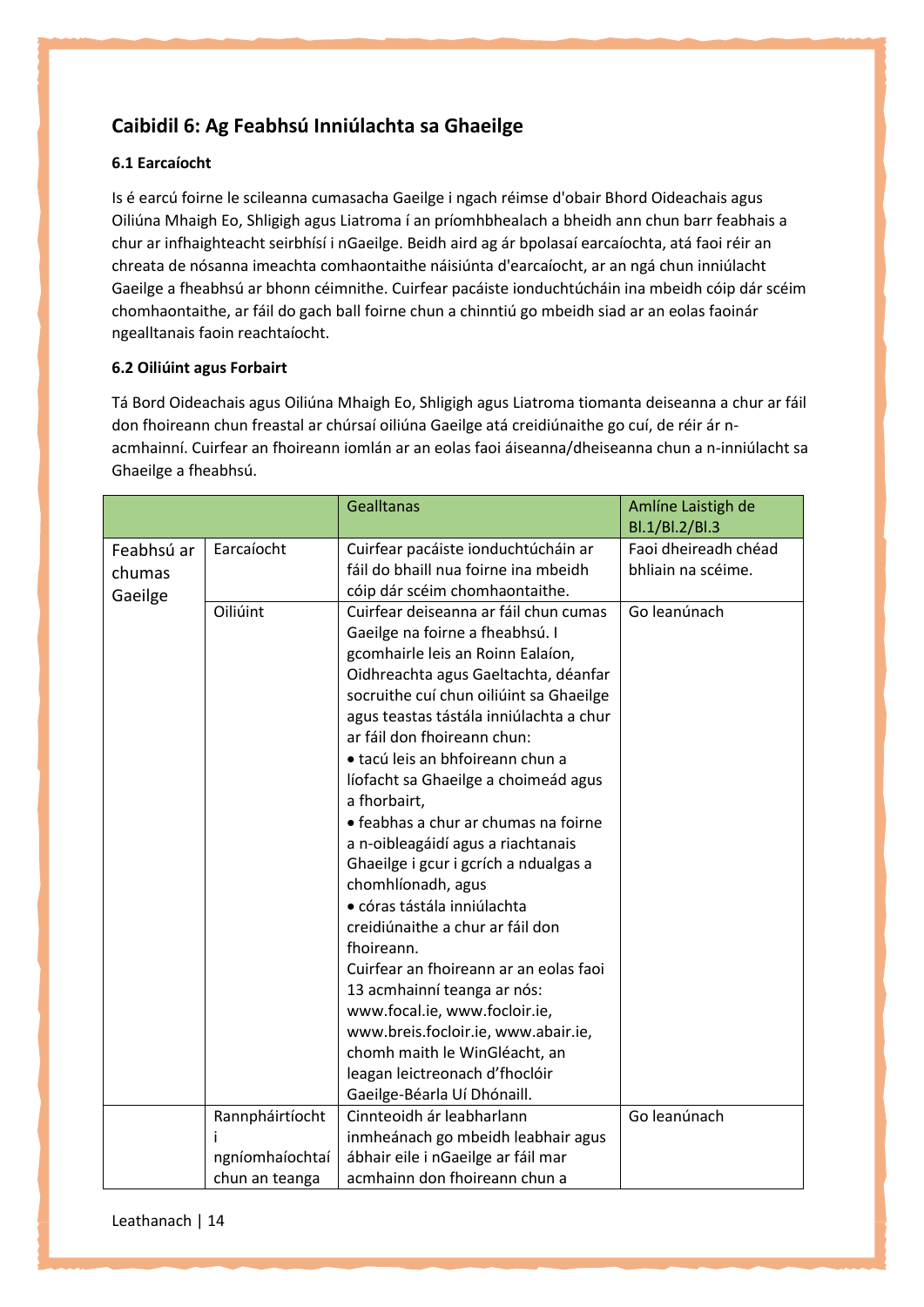## **Caibidil 6: Ag Feabhsú Inniúlachta sa Ghaeilge**

## **6.1 Earcaíocht**

Is é earcú foirne le scileanna cumasacha Gaeilge i ngach réimse d'obair Bhord Oideachais agus Oiliúna Mhaigh Eo, Shligigh agus Liatroma í an príomhbhealach a bheidh ann chun barr feabhais a chur ar infhaighteacht seirbhísí i nGaeilge. Beidh aird ag ár bpolasaí earcaíochta, atá faoi réir an chreata de nósanna imeachta comhaontaithe náisiúnta d'earcaíocht, ar an ngá chun inniúlacht Gaeilge a fheabhsú ar bhonn céimnithe. Cuirfear pacáiste ionduchtúcháin ina mbeidh cóip dár scéim chomhaontaithe, ar fáil do gach ball foirne chun a chinntiú go mbeidh siad ar an eolas faoinár ngealltanais faoin reachtaíocht.

## **6.2 Oiliúint agus Forbairt**

Tá Bord Oideachais agus Oiliúna Mhaigh Eo, Shligigh agus Liatroma tiomanta deiseanna a chur ar fáil don fhoireann chun freastal ar chúrsaí oiliúna Gaeilge atá creidiúnaithe go cuí, de réir ár nacmhainní. Cuirfear an fhoireann iomlán ar an eolas faoi áiseanna/dheiseanna chun a n-inniúlacht sa Ghaeilge a fheabhsú.

|                                 |                                    | <b>Gealltanas</b>                                                                                                                                                                                                                                                                                                                                                                                                                                                                                                                                                                                                                                                                                                                                                                                                                                       | Amlíne Laistigh de<br>Bl.1/Bl.2/Bl.3       |
|---------------------------------|------------------------------------|---------------------------------------------------------------------------------------------------------------------------------------------------------------------------------------------------------------------------------------------------------------------------------------------------------------------------------------------------------------------------------------------------------------------------------------------------------------------------------------------------------------------------------------------------------------------------------------------------------------------------------------------------------------------------------------------------------------------------------------------------------------------------------------------------------------------------------------------------------|--------------------------------------------|
| Feabhsú ar<br>chumas<br>Gaeilge | Earcaíocht                         | Cuirfear pacáiste ionduchtúcháin ar<br>fáil do bhaill nua foirne ina mbeidh<br>cóip dár scéim chomhaontaithe.                                                                                                                                                                                                                                                                                                                                                                                                                                                                                                                                                                                                                                                                                                                                           | Faoi dheireadh chéad<br>bhliain na scéime. |
|                                 | Oiliúint                           | Cuirfear deiseanna ar fáil chun cumas<br>Gaeilge na foirne a fheabhsú. I<br>gcomhairle leis an Roinn Ealaíon,<br>Oidhreachta agus Gaeltachta, déanfar<br>socruithe cuí chun oiliúint sa Ghaeilge<br>agus teastas tástála inniúlachta a chur<br>ar fáil don fhoireann chun:<br>· tacú leis an bhfoireann chun a<br>líofacht sa Ghaeilge a choimeád agus<br>a fhorbairt,<br>· feabhas a chur ar chumas na foirne<br>a n-oibleagáidí agus a riachtanais<br>Ghaeilge i gcur i gcrích a ndualgas a<br>chomhlíonadh, agus<br>· córas tástála inniúlachta<br>creidiúnaithe a chur ar fáil don<br>fhoireann.<br>Cuirfear an fhoireann ar an eolas faoi<br>13 acmhainní teanga ar nós:<br>www.focal.ie, www.focloir.ie,<br>www.breis.focloir.ie, www.abair.ie,<br>chomh maith le WinGléacht, an<br>leagan leictreonach d'fhoclóir<br>Gaeilge-Béarla Uí Dhónaill. | Go leanúnach                               |
|                                 | Rannpháirtíocht<br>ngníomhaíochtaí | Cinnteoidh ár leabharlann<br>inmheánach go mbeidh leabhair agus<br>ábhair eile i nGaeilge ar fáil mar                                                                                                                                                                                                                                                                                                                                                                                                                                                                                                                                                                                                                                                                                                                                                   | Go leanúnach                               |
|                                 | chun an teanga                     | acmhainn don fhoireann chun a                                                                                                                                                                                                                                                                                                                                                                                                                                                                                                                                                                                                                                                                                                                                                                                                                           |                                            |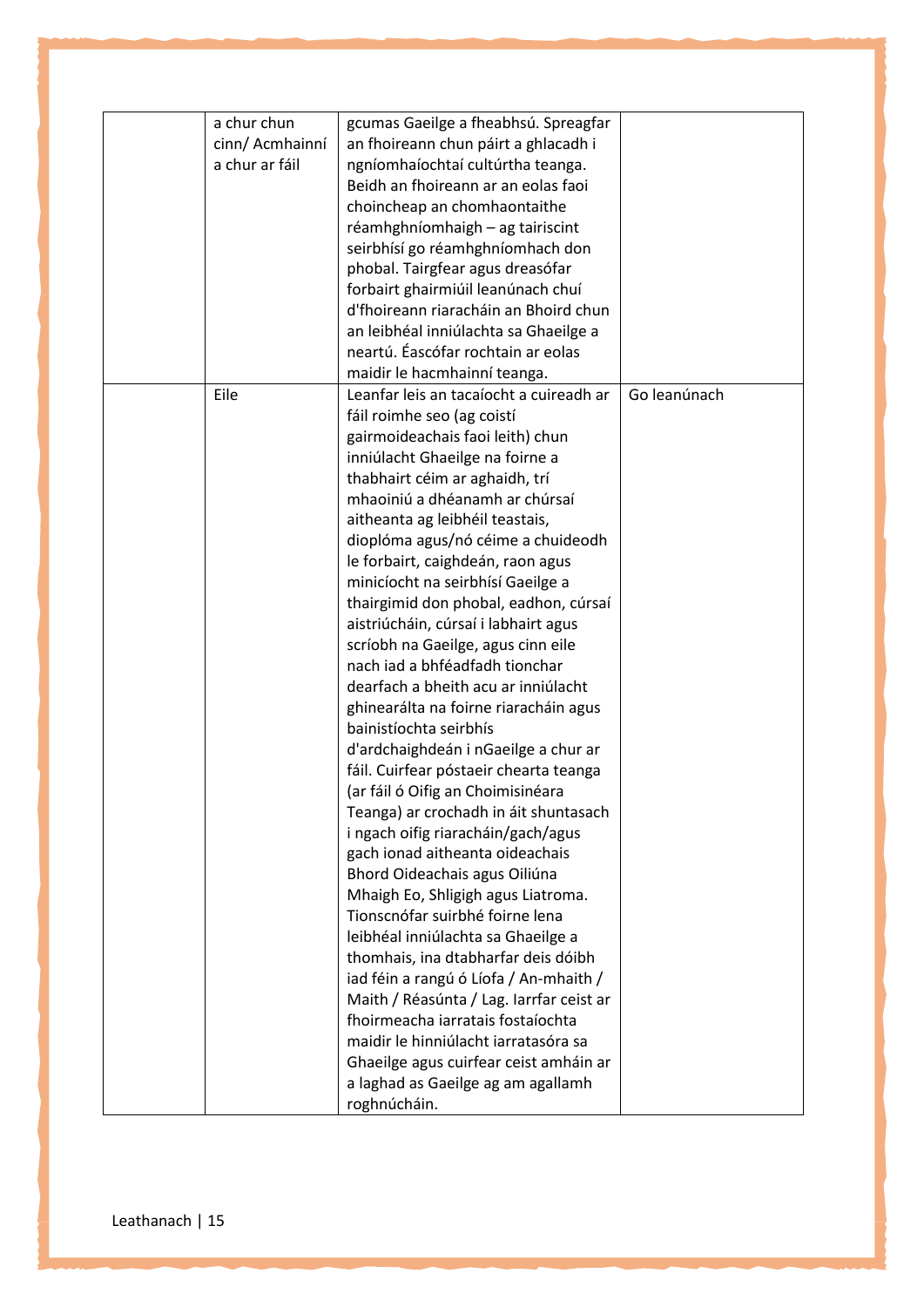| a chur chun     | gcumas Gaeilge a fheabhsú. Spreagfar     |              |
|-----------------|------------------------------------------|--------------|
| cinn/ Acmhainní | an fhoireann chun páirt a ghlacadh i     |              |
| a chur ar fáil  | ngníomhaíochtaí cultúrtha teanga.        |              |
|                 | Beidh an fhoireann ar an eolas faoi      |              |
|                 | choincheap an chomhaontaithe             |              |
|                 | réamhghníomhaigh - ag tairiscint         |              |
|                 | seirbhísí go réamhghníomhach don         |              |
|                 | phobal. Tairgfear agus dreasófar         |              |
|                 | forbairt ghairmiúil leanúnach chuí       |              |
|                 | d'fhoireann riaracháin an Bhoird chun    |              |
|                 | an leibhéal inniúlachta sa Ghaeilge a    |              |
|                 | neartú. Éascófar rochtain ar eolas       |              |
|                 | maidir le hacmhainní teanga.             |              |
| Eile            | Leanfar leis an tacaíocht a cuireadh ar  | Go leanúnach |
|                 |                                          |              |
|                 | fáil roimhe seo (ag coistí               |              |
|                 | gairmoideachais faoi leith) chun         |              |
|                 | inniúlacht Ghaeilge na foirne a          |              |
|                 | thabhairt céim ar aghaidh, trí           |              |
|                 | mhaoiniú a dhéanamh ar chúrsaí           |              |
|                 | aitheanta ag leibhéil teastais,          |              |
|                 | dioplóma agus/nó céime a chuideodh       |              |
|                 | le forbairt, caighdeán, raon agus        |              |
|                 | minicíocht na seirbhísí Gaeilge a        |              |
|                 | thairgimid don phobal, eadhon, cúrsaí    |              |
|                 | aistriúcháin, cúrsaí i labhairt agus     |              |
|                 | scríobh na Gaeilge, agus cinn eile       |              |
|                 | nach iad a bhféadfadh tionchar           |              |
|                 | dearfach a bheith acu ar inniúlacht      |              |
|                 | ghinearálta na foirne riaracháin agus    |              |
|                 | bainistíochta seirbhís                   |              |
|                 | d'ardchaighdeán i nGaeilge a chur ar     |              |
|                 | fáil. Cuirfear póstaeir chearta teanga   |              |
|                 | (ar fáil ó Oifig an Choimisinéara        |              |
|                 | Teanga) ar crochadh in áit shuntasach    |              |
|                 | i ngach oifig riaracháin/gach/agus       |              |
|                 | gach ionad aitheanta oideachais          |              |
|                 | Bhord Oideachais agus Oiliúna            |              |
|                 | Mhaigh Eo, Shligigh agus Liatroma.       |              |
|                 | Tionscnófar suirbhé foirne lena          |              |
|                 | leibhéal inniúlachta sa Ghaeilge a       |              |
|                 | thomhais, ina dtabharfar deis dóibh      |              |
|                 | iad féin a rangú ó Líofa / An-mhaith /   |              |
|                 | Maith / Réasúnta / Lag. Iarrfar ceist ar |              |
|                 | fhoirmeacha iarratais fostaíochta        |              |
|                 | maidir le hinniúlacht iarratasóra sa     |              |
|                 | Ghaeilge agus cuirfear ceist amháin ar   |              |
|                 | a laghad as Gaeilge ag am agallamh       |              |
|                 | roghnúcháin.                             |              |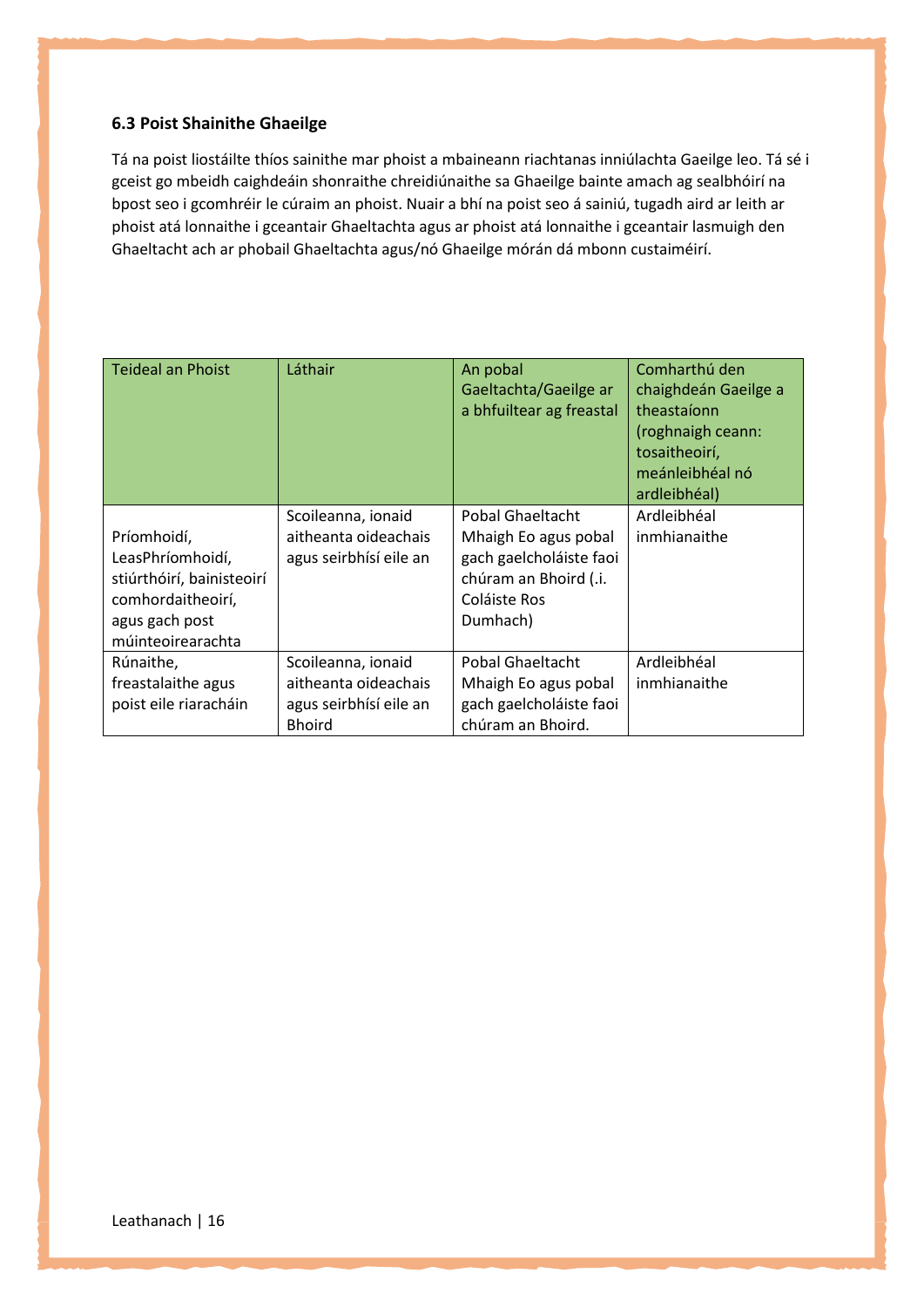### **6.3 Poist Shainithe Ghaeilge**

Tá na poist liostáilte thíos sainithe mar phoist a mbaineann riachtanas inniúlachta Gaeilge leo. Tá sé i gceist go mbeidh caighdeáin shonraithe chreidiúnaithe sa Ghaeilge bainte amach ag sealbhóirí na bpost seo i gcomhréir le cúraim an phoist. Nuair a bhí na poist seo á sainiú, tugadh aird ar leith ar phoist atá lonnaithe i gceantair Ghaeltachta agus ar phoist atá lonnaithe i gceantair lasmuigh den Ghaeltacht ach ar phobail Ghaeltachta agus/nó Ghaeilge mórán dá mbonn custaiméirí.

| <b>Teideal an Phoist</b>                                                                                                 | Láthair                                                                               | An pobal<br>Gaeltachta/Gaeilge ar<br>a bhfuiltear ag freastal                                                            | Comharthú den<br>chaighdeán Gaeilge a<br>theastaíonn<br>(roghnaigh ceann:<br>tosaitheoirí,<br>meánleibhéal nó<br>ardleibhéal) |
|--------------------------------------------------------------------------------------------------------------------------|---------------------------------------------------------------------------------------|--------------------------------------------------------------------------------------------------------------------------|-------------------------------------------------------------------------------------------------------------------------------|
| Príomhoidí,<br>LeasPhríomhoidí,<br>stiúrthóirí, bainisteoirí<br>comhordaitheoirí,<br>agus gach post<br>múinteoirearachta | Scoileanna, ionaid<br>aitheanta oideachais<br>agus seirbhísí eile an                  | Pobal Ghaeltacht<br>Mhaigh Eo agus pobal<br>gach gaelcholáiste faoi<br>chúram an Bhoird (.i.<br>Coláiste Ros<br>Dumhach) | Ardleibhéal<br>inmhianaithe                                                                                                   |
| Rúnaithe,<br>freastalaithe agus<br>poist eile riaracháin                                                                 | Scoileanna, ionaid<br>aitheanta oideachais<br>agus seirbhísí eile an<br><b>Bhoird</b> | Pobal Ghaeltacht<br>Mhaigh Eo agus pobal<br>gach gaelcholáiste faoi<br>chúram an Bhoird.                                 | Ardleibhéal<br>inmhianaithe                                                                                                   |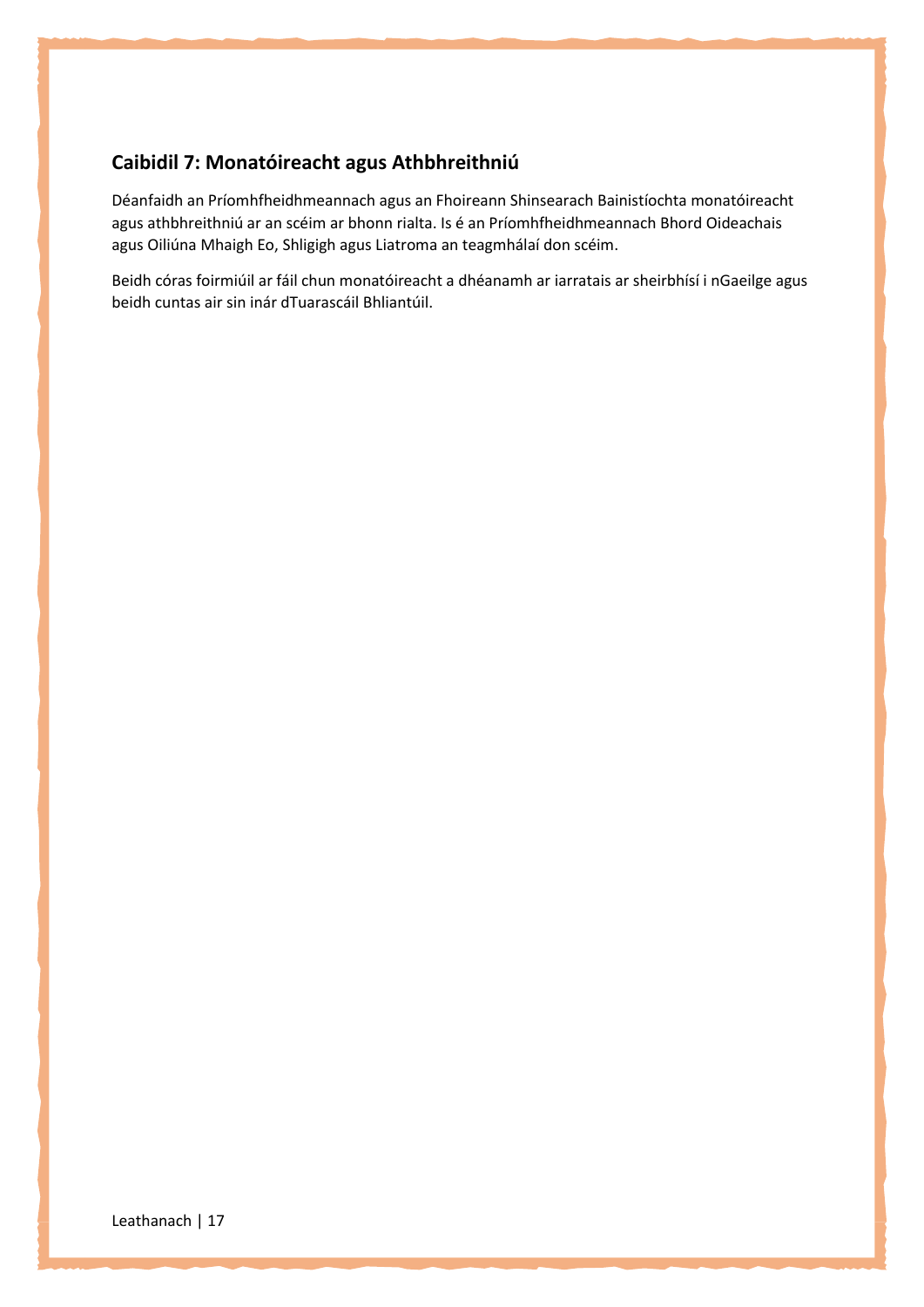## **Caibidil 7: Monatóireacht agus Athbhreithniú**

Déanfaidh an Príomhfheidhmeannach agus an Fhoireann Shinsearach Bainistíochta monatóireacht agus athbhreithniú ar an scéim ar bhonn rialta. Is é an Príomhfheidhmeannach Bhord Oideachais agus Oiliúna Mhaigh Eo, Shligigh agus Liatroma an teagmhálaí don scéim.

Beidh córas foirmiúil ar fáil chun monatóireacht a dhéanamh ar iarratais ar sheirbhísí i nGaeilge agus beidh cuntas air sin inár dTuarascáil Bhliantúil.